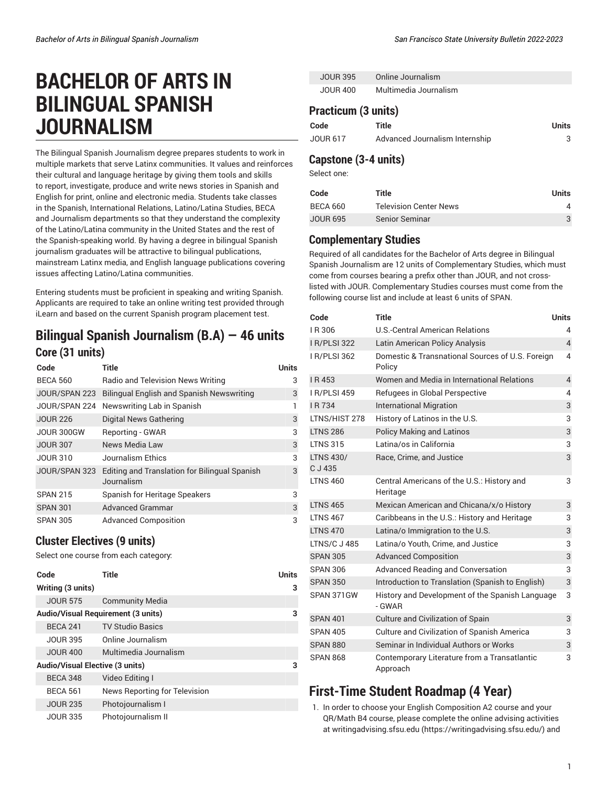# **BACHELOR OF ARTS IN BILINGUAL SPANISH JOURNALISM**

The Bilingual Spanish Journalism degree prepares students to work in multiple markets that serve Latinx communities. It values and reinforces their cultural and language heritage by giving them tools and skills to report, investigate, produce and write news stories in Spanish and English for print, online and electronic media. Students take classes in the Spanish, International Relations, Latino/Latina Studies, BECA and Journalism departments so that they understand the complexity of the Latino/Latina community in the United States and the rest of the Spanish-speaking world. By having a degree in bilingual Spanish journalism graduates will be attractive to bilingual publications, mainstream Latinx media, and English language publications covering issues affecting Latino/Latina communities.

Entering students must be proficient in speaking and writing Spanish. Applicants are required to take an online writing test provided through iLearn and based on the current Spanish program placement test.

## **Bilingual Spanish Journalism (B.A) — 46 units Core (31 units)**

| Code            | Title                                                       | <b>Units</b> |
|-----------------|-------------------------------------------------------------|--------------|
| <b>BECA 560</b> | Radio and Television News Writing                           | 3            |
| JOUR/SPAN 223   | <b>Bilingual English and Spanish Newswriting</b>            | 3            |
| JOUR/SPAN 224   | Newswriting Lab in Spanish                                  | 1            |
| <b>JOUR 226</b> | Digital News Gathering                                      | 3            |
| JOUR 300GW      | Reporting - GWAR                                            | 3            |
| <b>JOUR 307</b> | News Media Law                                              | 3            |
| <b>JOUR 310</b> | Journalism Ethics                                           | 3            |
| JOUR/SPAN 323   | Editing and Translation for Bilingual Spanish<br>Journalism | 3            |
| <b>SPAN 215</b> | Spanish for Heritage Speakers                               | 3            |
| <b>SPAN 301</b> | <b>Advanced Grammar</b>                                     | 3            |
| <b>SPAN 305</b> | <b>Advanced Composition</b>                                 | 3            |

#### **Cluster Electives (9 units)**

Select one course from each category:

| Code                                   | Title                                     | Units |
|----------------------------------------|-------------------------------------------|-------|
| Writing (3 units)                      |                                           | 3     |
| <b>JOUR 575</b>                        | <b>Community Media</b>                    |       |
|                                        | <b>Audio/Visual Requirement (3 units)</b> | 3     |
| <b>BECA 241</b>                        | <b>TV Studio Basics</b>                   |       |
| <b>JOUR 395</b>                        | Online Journalism                         |       |
| <b>JOUR 400</b>                        | Multimedia Journalism                     |       |
| <b>Audio/Visual Elective (3 units)</b> |                                           | 3     |
| <b>BECA 348</b>                        | Video Editing I                           |       |
| <b>BECA 561</b>                        | News Reporting for Television             |       |
| <b>JOUR 235</b>                        | Photojournalism I                         |       |
| <b>JOUR 335</b>                        | Photojournalism II                        |       |

| <b>JOUR 395</b> | Online Journalism     |
|-----------------|-----------------------|
| JOUR 400        | Multimedia Journalism |

#### **Practicum (3 units)**

| Code     | Title                          | Units |
|----------|--------------------------------|-------|
| JOUR 617 | Advanced Journalism Internship |       |

#### **Capstone (3-4 units)**

Select one:

| Code            | Title                         | Units |
|-----------------|-------------------------------|-------|
| BECA 660        | <b>Television Center News</b> | 4     |
| <b>JOUR 695</b> | <b>Senior Seminar</b>         | 3     |

#### **Complementary Studies**

Required of all candidates for the Bachelor of Arts degree in Bilingual Spanish Journalism are 12 units of Complementary Studies, which must come from courses bearing a prefix other than JOUR, and not crosslisted with JOUR. Complementary Studies courses must come from the following course list and include at least 6 units of SPAN.

| Code                        | Title                                                      | <b>Units</b>   |
|-----------------------------|------------------------------------------------------------|----------------|
| I R 306                     | U.S.-Central American Relations                            | 4              |
| <b>I R/PLSI 322</b>         | Latin American Policy Analysis                             | $\overline{4}$ |
| <b>I R/PLSI 362</b>         | Domestic & Transnational Sources of U.S. Foreign<br>Policy | 4              |
| I R 453                     | Women and Media in International Relations                 | $\overline{4}$ |
| <b>I R/PLSI 459</b>         | Refugees in Global Perspective                             | 4              |
| I R 734                     | <b>International Migration</b>                             | 3              |
| LTNS/HIST 278               | History of Latinos in the U.S.                             | 3              |
| <b>LTNS 286</b>             | <b>Policy Making and Latinos</b>                           | 3              |
| <b>LTNS 315</b>             | Latina/os in California                                    | 3              |
| <b>LTNS 430/</b><br>C J 435 | Race, Crime, and Justice                                   | 3              |
| <b>LTNS 460</b>             | Central Americans of the U.S.: History and<br>Heritage     | 3              |
| <b>LTNS 465</b>             | Mexican American and Chicana/x/o History                   | 3              |
| <b>LTNS 467</b>             | Caribbeans in the U.S.: History and Heritage               | 3              |
| <b>LTNS 470</b>             | Latina/o Immigration to the U.S.                           | 3              |
| <b>LTNS/C J 485</b>         | Latina/o Youth, Crime, and Justice                         | 3              |
| <b>SPAN 305</b>             | <b>Advanced Composition</b>                                | 3              |
| <b>SPAN 306</b>             | <b>Advanced Reading and Conversation</b>                   | 3              |
| <b>SPAN 350</b>             | Introduction to Translation (Spanish to English)           | 3              |
| SPAN 371GW                  | History and Development of the Spanish Language<br>- GWAR  | 3              |
| <b>SPAN 401</b>             | <b>Culture and Civilization of Spain</b>                   | 3              |
| <b>SPAN 405</b>             | Culture and Civilization of Spanish America                | 3              |
| <b>SPAN 880</b>             | Seminar in Individual Authors or Works                     | 3              |
| <b>SPAN 868</b>             | Contemporary Literature from a Transatlantic<br>Approach   | 3              |

## **First-Time Student Roadmap (4 Year)**

1. In order to choose your English Composition A2 course and your QR/Math B4 course, please complete the online advising activities at [writingadvising.sfsu.edu \(https://writingadvising.sfsu.edu/](https://writingadvising.sfsu.edu/)) and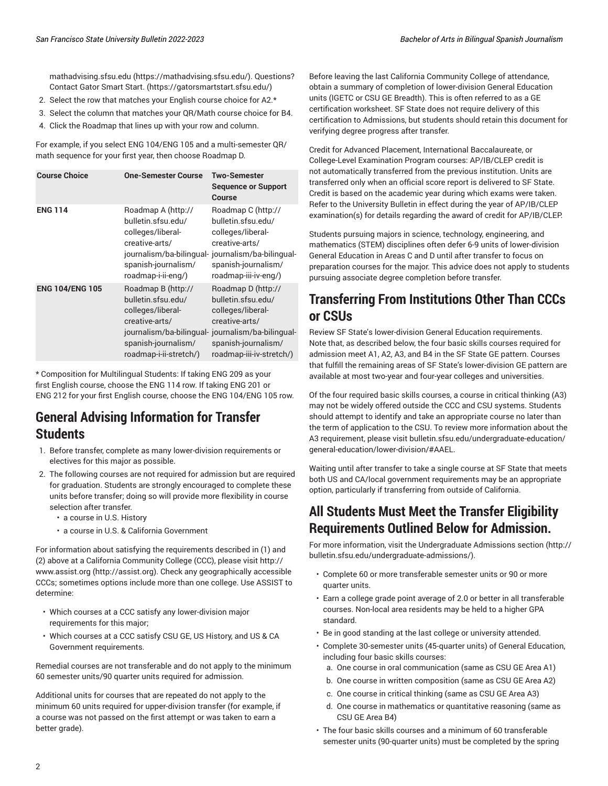[mathadvising.sfsu.edu](https://mathadvising.sfsu.edu/) ([https://mathadvising.sfsu.edu/\)](https://mathadvising.sfsu.edu/). Questions? Contact Gator [Smart](https://gatorsmartstart.sfsu.edu/) Start. ([https://gatorsmartstart.sfsu.edu/\)](https://gatorsmartstart.sfsu.edu/)

- 2. Select the row that matches your English course choice for A2.\*
- 3. Select the column that matches your QR/Math course choice for B4.
- 4. Click the Roadmap that lines up with your row and column.

For example, if you select ENG 104/ENG 105 and a multi-semester QR/ math sequence for your first year, then choose Roadmap D.

| <b>Course Choice</b>   | <b>One-Semester Course</b>                                                                                                       | <b>Two-Semester</b><br><b>Sequence or Support</b><br>Course                                                                                                                             |
|------------------------|----------------------------------------------------------------------------------------------------------------------------------|-----------------------------------------------------------------------------------------------------------------------------------------------------------------------------------------|
| <b>ENG 114</b>         | Roadmap A (http://<br>bulletin.sfsu.edu/<br>colleges/liberal-<br>creative-arts/<br>spanish-journalism/<br>roadmap-i-ii-eng/)     | Roadmap C (http://<br>bulletin.sfsu.edu/<br>colleges/liberal-<br>creative-arts/<br>journalism/ba-bilingual- journalism/ba-bilingual-<br>spanish-journalism/<br>roadmap-iii-iv-eng/)     |
| <b>ENG 104/ENG 105</b> | Roadmap B (http://<br>bulletin.sfsu.edu/<br>colleges/liberal-<br>creative-arts/<br>spanish-journalism/<br>roadmap-i-ii-stretch/) | Roadmap D (http://<br>bulletin.sfsu.edu/<br>colleges/liberal-<br>creative-arts/<br>journalism/ba-bilingual- journalism/ba-bilingual-<br>spanish-journalism/<br>roadmap-iii-iv-stretch/) |

\* Composition for Multilingual Students: If taking ENG 209 as your first English course, choose the ENG 114 row. If taking ENG 201 or ENG 212 for your first English course, choose the ENG 104/ENG 105 row.

## **General Advising Information for Transfer Students**

- 1. Before transfer, complete as many lower-division requirements or electives for this major as possible.
- 2. The following courses are not required for admission but are required for graduation. Students are strongly encouraged to complete these units before transfer; doing so will provide more flexibility in course selection after transfer.
	- a course in U.S. History
	- a course in U.S. & California Government

For information about satisfying the requirements described in (1) and (2) above at a California Community College (CCC), please visit [http://](http://assist.org) [www.assist.org](http://assist.org) [\(http://assist.org\)](http://assist.org). Check any geographically accessible CCCs; sometimes options include more than one college. Use ASSIST to determine:

- Which courses at a CCC satisfy any lower-division major requirements for this major;
- Which courses at a CCC satisfy CSU GE, US History, and US & CA Government requirements.

Remedial courses are not transferable and do not apply to the minimum 60 semester units/90 quarter units required for admission.

Additional units for courses that are repeated do not apply to the minimum 60 units required for upper-division transfer (for example, if a course was not passed on the first attempt or was taken to earn a better grade).

Before leaving the last California Community College of attendance, obtain a summary of completion of lower-division General Education units (IGETC or CSU GE Breadth). This is often referred to as a GE certification worksheet. SF State does not require delivery of this certification to Admissions, but students should retain this document for verifying degree progress after transfer.

Credit for Advanced Placement, International Baccalaureate, or College-Level Examination Program courses: AP/IB/CLEP credit is not automatically transferred from the previous institution. Units are transferred only when an official score report is delivered to SF State. Credit is based on the academic year during which exams were taken. Refer to the University Bulletin in effect during the year of AP/IB/CLEP examination(s) for details regarding the award of credit for AP/IB/CLEP.

Students pursuing majors in science, technology, engineering, and mathematics (STEM) disciplines often defer 6-9 units of lower-division General Education in Areas C and D until after transfer to focus on preparation courses for the major. This advice does not apply to students pursuing associate degree completion before transfer.

## **Transferring From Institutions Other Than CCCs or CSUs**

Review SF State's lower-division General Education requirements. Note that, as described below, the four basic skills courses required for admission meet A1, A2, A3, and B4 in the SF State GE pattern. Courses that fulfill the remaining areas of SF State's lower-division GE pattern are available at most two-year and four-year colleges and universities.

Of the four required basic skills courses, a course in critical thinking (A3) may not be widely offered outside the CCC and CSU systems. Students should attempt to identify and take an appropriate course no later than the term of application to the CSU. To review more information about the A3 requirement, please visit [bulletin.sfsu.edu/undergraduate-education/](/undergraduate-education/general-education/lower-division/#AAEL) [general-education/lower-division/#AAEL.](/undergraduate-education/general-education/lower-division/#AAEL)

Waiting until after transfer to take a single course at SF State that meets both US and CA/local government requirements may be an appropriate option, particularly if transferring from outside of California.

## **All Students Must Meet the Transfer Eligibility Requirements Outlined Below for Admission.**

For more information, visit the [Undergraduate](http://bulletin.sfsu.edu/undergraduate-admissions/) Admissions section [\(http://](http://bulletin.sfsu.edu/undergraduate-admissions/) [bulletin.sfsu.edu/undergraduate-admissions/](http://bulletin.sfsu.edu/undergraduate-admissions/)).

- Complete 60 or more transferable semester units or 90 or more quarter units.
- Earn a college grade point average of 2.0 or better in all transferable courses. Non-local area residents may be held to a higher GPA standard.
- Be in good standing at the last college or university attended.
- Complete 30-semester units (45-quarter units) of General Education, including four basic skills courses:
	- a. One course in oral communication (same as CSU GE Area A1)
	- b. One course in written composition (same as CSU GE Area A2)
	- c. One course in critical thinking (same as CSU GE Area A3)
	- d. One course in mathematics or quantitative reasoning (same as CSU GE Area B4)
- The four basic skills courses and a minimum of 60 transferable semester units (90-quarter units) must be completed by the spring